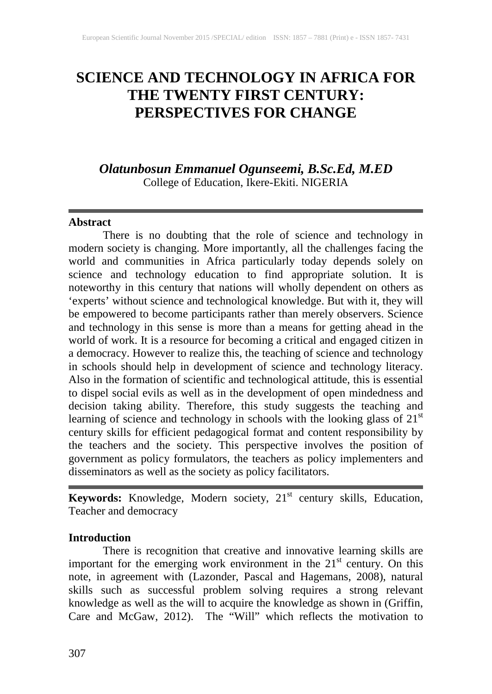# **SCIENCE AND TECHNOLOGY IN AFRICA FOR THE TWENTY FIRST CENTURY: PERSPECTIVES FOR CHANGE**

# *Olatunbosun Emmanuel Ogunseemi, B.Sc.Ed, M.ED* College of Education, Ikere-Ekiti. NIGERIA

#### **Abstract**

There is no doubting that the role of science and technology in modern society is changing. More importantly, all the challenges facing the world and communities in Africa particularly today depends solely on science and technology education to find appropriate solution. It is noteworthy in this century that nations will wholly dependent on others as 'experts' without science and technological knowledge. But with it, they will be empowered to become participants rather than merely observers. Science and technology in this sense is more than a means for getting ahead in the world of work. It is a resource for becoming a critical and engaged citizen in a democracy. However to realize this, the teaching of science and technology in schools should help in development of science and technology literacy. Also in the formation of scientific and technological attitude, this is essential to dispel social evils as well as in the development of open mindedness and decision taking ability. Therefore, this study suggests the teaching and learning of science and technology in schools with the looking glass of  $21<sup>st</sup>$ century skills for efficient pedagogical format and content responsibility by the teachers and the society. This perspective involves the position of government as policy formulators, the teachers as policy implementers and disseminators as well as the society as policy facilitators.

**Keywords:** Knowledge, Modern society, 21<sup>st</sup> century skills, Education, Teacher and democracy

#### **Introduction**

There is recognition that creative and innovative learning skills are important for the emerging work environment in the  $21<sup>st</sup>$  century. On this note, in agreement with (Lazonder, Pascal and Hagemans, 2008), natural skills such as successful problem solving requires a strong relevant knowledge as well as the will to acquire the knowledge as shown in (Griffin, Care and McGaw, 2012). The "Will" which reflects the motivation to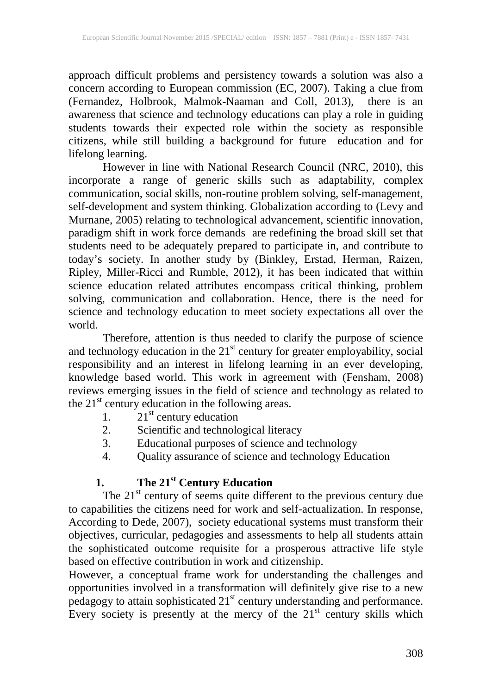approach difficult problems and persistency towards a solution was also a concern according to European commission (EC, 2007). Taking a clue from (Fernandez, Holbrook, Malmok-Naaman and Coll, 2013), there is an awareness that science and technology educations can play a role in guiding students towards their expected role within the society as responsible citizens, while still building a background for future education and for lifelong learning.

However in line with National Research Council (NRC, 2010), this incorporate a range of generic skills such as adaptability, complex communication, social skills, non-routine problem solving, self-management, self-development and system thinking. Globalization according to (Levy and Murnane, 2005) relating to technological advancement, scientific innovation, paradigm shift in work force demands are redefining the broad skill set that students need to be adequately prepared to participate in, and contribute to today's society. In another study by (Binkley, Erstad, Herman, Raizen, Ripley, Miller-Ricci and Rumble, 2012), it has been indicated that within science education related attributes encompass critical thinking, problem solving, communication and collaboration. Hence, there is the need for science and technology education to meet society expectations all over the world.

Therefore, attention is thus needed to clarify the purpose of science and technology education in the  $21<sup>st</sup>$  century for greater employability, social responsibility and an interest in lifelong learning in an ever developing, knowledge based world. This work in agreement with (Fensham, 2008) reviews emerging issues in the field of science and technology as related to the  $21<sup>st</sup>$  century education in the following areas.

- 1.  $21<sup>st</sup>$  century education
- 2. Scientific and technological literacy
- 3. Educational purposes of science and technology
- 4. Quality assurance of science and technology Education

## **1. The 21st Century Education**

The  $21<sup>st</sup>$  century of seems quite different to the previous century due to capabilities the citizens need for work and self-actualization. In response, According to Dede, 2007), society educational systems must transform their objectives, curricular, pedagogies and assessments to help all students attain the sophisticated outcome requisite for a prosperous attractive life style based on effective contribution in work and citizenship.

However, a conceptual frame work for understanding the challenges and opportunities involved in a transformation will definitely give rise to a new  $\beta$  pedagogy to attain sophisticated 21 $\mathrm{^{st}}$  century understanding and performance. Every society is presently at the mercy of the  $21<sup>st</sup>$  century skills which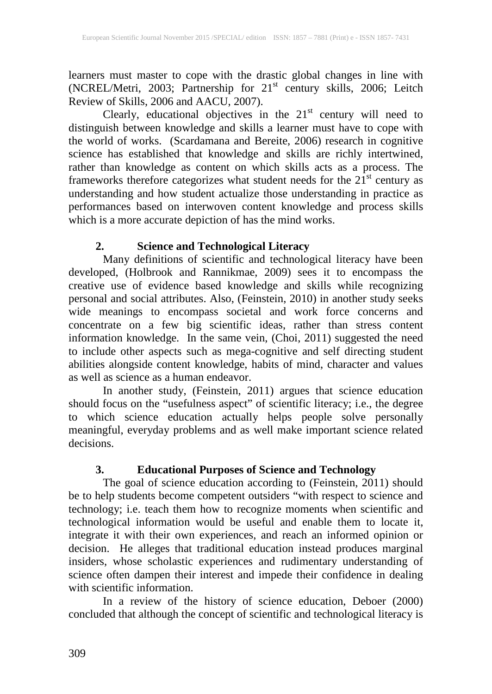learners must master to cope with the drastic global changes in line with (NCREL/Metri, 2003; Partnership for 21<sup>st</sup> century skills, 2006; Leitch Review of Skills, 2006 and AACU, 2007).

Clearly, educational objectives in the  $21<sup>st</sup>$  century will need to distinguish between knowledge and skills a learner must have to cope with the world of works. (Scardamana and Bereite, 2006) research in cognitive science has established that knowledge and skills are richly intertwined, rather than knowledge as content on which skills acts as a process. The frameworks therefore categorizes what student needs for the 21<sup>st</sup> century as understanding and how student actualize those understanding in practice as performances based on interwoven content knowledge and process skills which is a more accurate depiction of has the mind works.

## **2. Science and Technological Literacy**

Many definitions of scientific and technological literacy have been developed, (Holbrook and Rannikmae, 2009) sees it to encompass the creative use of evidence based knowledge and skills while recognizing personal and social attributes. Also, (Feinstein, 2010) in another study seeks wide meanings to encompass societal and work force concerns and concentrate on a few big scientific ideas, rather than stress content information knowledge. In the same vein, (Choi, 2011) suggested the need to include other aspects such as mega-cognitive and self directing student abilities alongside content knowledge, habits of mind, character and values as well as science as a human endeavor.

In another study, (Feinstein, 2011) argues that science education should focus on the "usefulness aspect" of scientific literacy; i.e., the degree to which science education actually helps people solve personally meaningful, everyday problems and as well make important science related decisions.

## **3. Educational Purposes of Science and Technology**

The goal of science education according to (Feinstein, 2011) should be to help students become competent outsiders "with respect to science and technology; i.e. teach them how to recognize moments when scientific and technological information would be useful and enable them to locate it, integrate it with their own experiences, and reach an informed opinion or decision. He alleges that traditional education instead produces marginal insiders, whose scholastic experiences and rudimentary understanding of science often dampen their interest and impede their confidence in dealing with scientific information.

In a review of the history of science education, Deboer (2000) concluded that although the concept of scientific and technological literacy is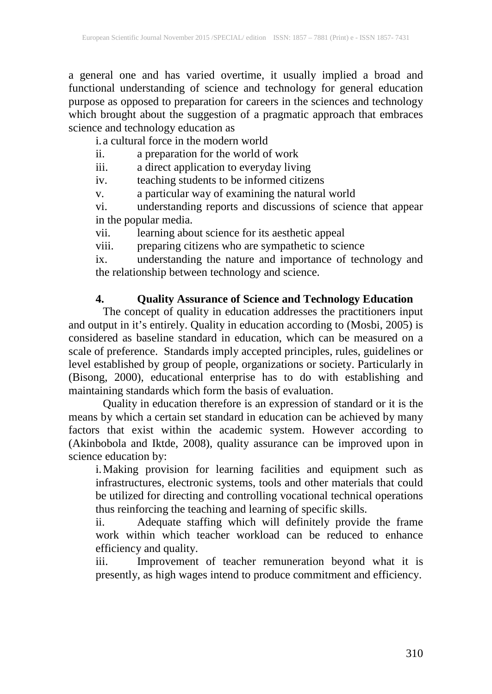a general one and has varied overtime, it usually implied a broad and functional understanding of science and technology for general education purpose as opposed to preparation for careers in the sciences and technology which brought about the suggestion of a pragmatic approach that embraces science and technology education as

i.a cultural force in the modern world

ii. a preparation for the world of work<br>iii. a direct application to everyday livi-

a direct application to everyday living

iv. teaching students to be informed citizens

v. a particular way of examining the natural world

vi. understanding reports and discussions of science that appear in the popular media.

vii. learning about science for its aesthetic appeal

viii. preparing citizens who are sympathetic to science

ix. understanding the nature and importance of technology and the relationship between technology and science.

## **4. Quality Assurance of Science and Technology Education**

The concept of quality in education addresses the practitioners input and output in it's entirely. Quality in education according to (Mosbi, 2005) is considered as baseline standard in education, which can be measured on a scale of preference. Standards imply accepted principles, rules, guidelines or level established by group of people, organizations or society. Particularly in (Bisong, 2000), educational enterprise has to do with establishing and maintaining standards which form the basis of evaluation.

Quality in education therefore is an expression of standard or it is the means by which a certain set standard in education can be achieved by many factors that exist within the academic system. However according to (Akinbobola and Iktde, 2008), quality assurance can be improved upon in science education by:

i.Making provision for learning facilities and equipment such as infrastructures, electronic systems, tools and other materials that could be utilized for directing and controlling vocational technical operations thus reinforcing the teaching and learning of specific skills.

ii. Adequate staffing which will definitely provide the frame work within which teacher workload can be reduced to enhance efficiency and quality.

iii. Improvement of teacher remuneration beyond what it is presently, as high wages intend to produce commitment and efficiency.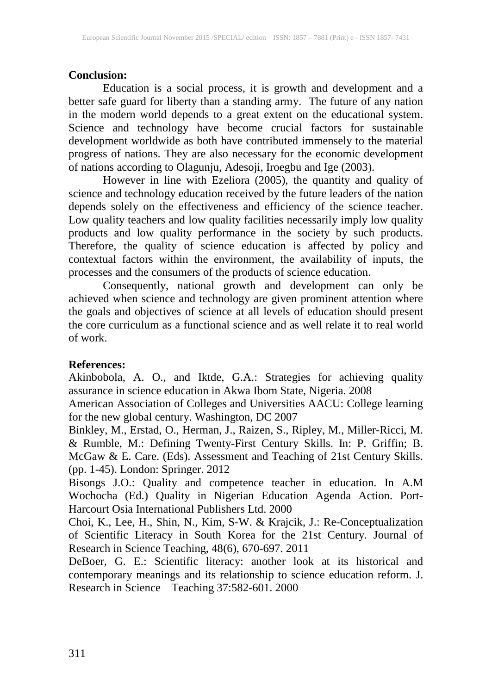### **Conclusion:**

Education is a social process, it is growth and development and a better safe guard for liberty than a standing army. The future of any nation in the modern world depends to a great extent on the educational system. Science and technology have become crucial factors for sustainable development worldwide as both have contributed immensely to the material progress of nations. They are also necessary for the economic development of nations according to Olagunju, Adesoji, Iroegbu and Ige (2003).

However in line with Ezeliora (2005), the quantity and quality of science and technology education received by the future leaders of the nation depends solely on the effectiveness and efficiency of the science teacher. Low quality teachers and low quality facilities necessarily imply low quality products and low quality performance in the society by such products. Therefore, the quality of science education is affected by policy and contextual factors within the environment, the availability of inputs, the processes and the consumers of the products of science education.

Consequently, national growth and development can only be achieved when science and technology are given prominent attention where the goals and objectives of science at all levels of education should present the core curriculum as a functional science and as well relate it to real world of work.

#### **References:**

Akinbobola, A. O., and Iktde, G.A.: Strategies for achieving quality assurance in science education in Akwa Ibom State, Nigeria. 2008

American Association of Colleges and Universities AACU: College learning for the new global century. Washington, DC 2007

Binkley, M., Erstad, O., Herman, J., Raizen, S., Ripley, M., Miller-Ricci, M. & Rumble, M.: Defining Twenty-First Century Skills. In: P. Griffin; B. McGaw & E. Care. (Eds). Assessment and Teaching of 21st Century Skills. (pp. 1-45). London: Springer. 2012

Bisongs J.O.: Quality and competence teacher in education. In A.M Wochocha (Ed.) Quality in Nigerian Education Agenda Action. Port-Harcourt Osia International Publishers Ltd. 2000

Choi, K., Lee, H., Shin, N., Kim, S-W. & Krajcik, J.: Re-Conceptualization of Scientific Literacy in South Korea for the 21st Century. Journal of Research in Science Teaching, 48(6), 670-697. 2011

DeBoer, G. E.: Scientific literacy: another look at its historical and contemporary meanings and its relationship to science education reform. J. Research in Science Teaching 37:582-601. 2000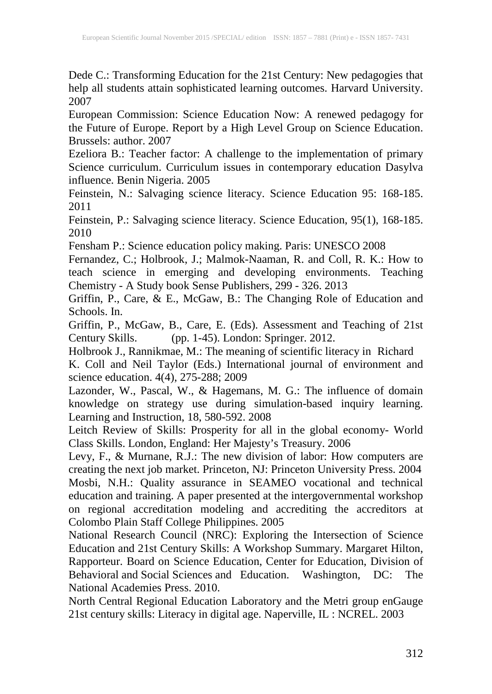Dede C.: Transforming Education for the 21st Century: New pedagogies that help all students attain sophisticated learning outcomes. Harvard University. 2007

European Commission: Science Education Now: A renewed pedagogy for the Future of Europe. Report by a High Level Group on Science Education. Brussels: author. 2007

Ezeliora B.: Teacher factor: A challenge to the implementation of primary Science curriculum. Curriculum issues in contemporary education Dasylva influence. Benin Nigeria. 2005

Feinstein, N.: Salvaging science literacy. Science Education 95: 168-185. 2011

Feinstein, P.: Salvaging science literacy. Science Education, 95(1), 168-185. 2010

Fensham P.: Science education policy making. Paris: UNESCO 2008

Fernandez, C.; Holbrook, J.; Malmok-Naaman, R. and Coll, R. K.: How to teach science in emerging and developing environments. Teaching Chemistry - A Study book Sense Publishers, 299 - 326. 2013

Griffin, P., Care, & E., McGaw, B.: The Changing Role of Education and Schools. In.

Griffin, P., McGaw, B., Care, E. (Eds). Assessment and Teaching of 21st Century Skills. (pp. 1-45). London: Springer. 2012.

Holbrook J., Rannikmae, M.: The meaning of scientific literacy in Richard

K. Coll and Neil Taylor (Eds.) International journal of environment and science education. 4(4), 275-288; 2009

Lazonder, W., Pascal, W., & Hagemans, M. G.: The influence of domain knowledge on strategy use during simulation-based inquiry learning. Learning and Instruction, 18, 580-592. 2008

Leitch Review of Skills: Prosperity for all in the global economy- World Class Skills. London, England: Her Majesty's Treasury. 2006

Levy, F., & Murnane, R.J.: The new division of labor: How computers are creating the next job market. Princeton, NJ: Princeton University Press. 2004 Mosbi, N.H.: Quality assurance in SEAMEO vocational and technical education and training. A paper presented at the intergovernmental workshop on regional accreditation modeling and accrediting the accreditors at Colombo Plain Staff College Philippines. 2005

National Research Council (NRC): Exploring the Intersection of Science Education and 21st Century Skills: A Workshop Summary. Margaret Hilton, Rapporteur. Board on Science Education, Center for Education, Division of Behavioral and Social Sciences and Education. Washington, DC: The National Academies Press. 2010.

North Central Regional Education Laboratory and the Metri group enGauge 21st century skills: Literacy in digital age. Naperville, IL : NCREL. 2003